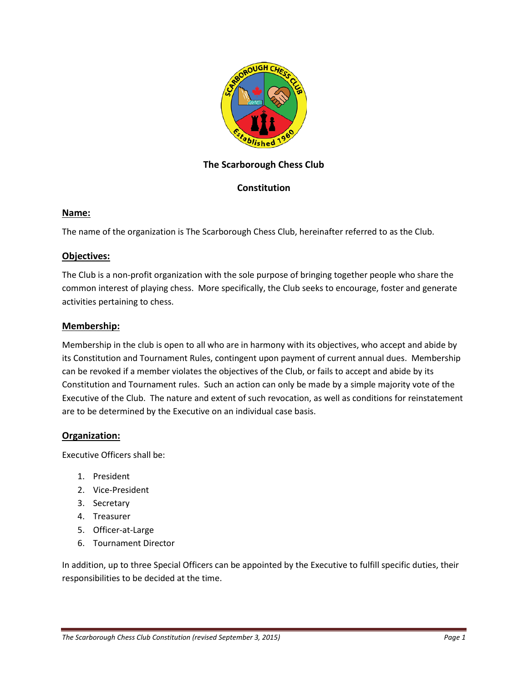

# **The Scarborough Chess Club**

# **Constitution**

## **Name:**

The name of the organization is The Scarborough Chess Club, hereinafter referred to as the Club.

#### **Objectives:**

The Club is a non-profit organization with the sole purpose of bringing together people who share the common interest of playing chess. More specifically, the Club seeks to encourage, foster and generate activities pertaining to chess.

#### **Membership:**

Membership in the club is open to all who are in harmony with its objectives, who accept and abide by its Constitution and Tournament Rules, contingent upon payment of current annual dues. Membership can be revoked if a member violates the objectives of the Club, or fails to accept and abide by its Constitution and Tournament rules. Such an action can only be made by a simple majority vote of the Executive of the Club. The nature and extent of such revocation, as well as conditions for reinstatement are to be determined by the Executive on an individual case basis.

## **Organization:**

Executive Officers shall be:

- 1. President
- 2. Vice-President
- 3. Secretary
- 4. Treasurer
- 5. Officer-at-Large
- 6. Tournament Director

In addition, up to three Special Officers can be appointed by the Executive to fulfill specific duties, their responsibilities to be decided at the time.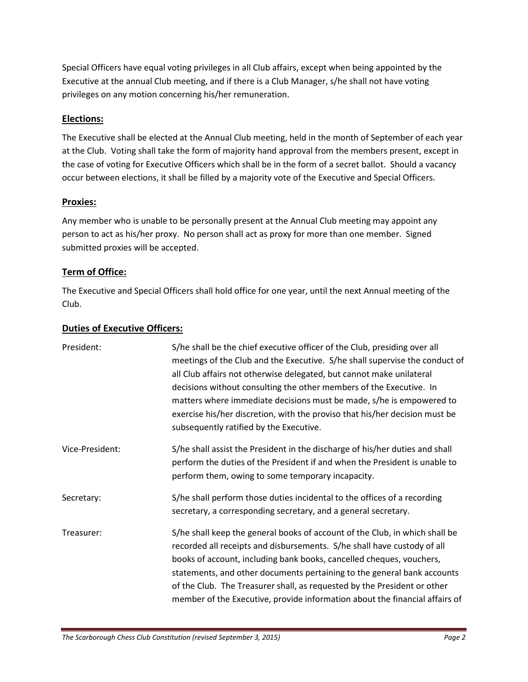Special Officers have equal voting privileges in all Club affairs, except when being appointed by the Executive at the annual Club meeting, and if there is a Club Manager, s/he shall not have voting privileges on any motion concerning his/her remuneration.

# **Elections:**

The Executive shall be elected at the Annual Club meeting, held in the month of September of each year at the Club. Voting shall take the form of majority hand approval from the members present, except in the case of voting for Executive Officers which shall be in the form of a secret ballot. Should a vacancy occur between elections, it shall be filled by a majority vote of the Executive and Special Officers.

## **Proxies:**

Any member who is unable to be personally present at the Annual Club meeting may appoint any person to act as his/her proxy. No person shall act as proxy for more than one member. Signed submitted proxies will be accepted.

# **Term of Office:**

The Executive and Special Officers shall hold office for one year, until the next Annual meeting of the Club.

## **Duties of Executive Officers:**

| President:      | S/he shall be the chief executive officer of the Club, presiding over all<br>meetings of the Club and the Executive. S/he shall supervise the conduct of<br>all Club affairs not otherwise delegated, but cannot make unilateral<br>decisions without consulting the other members of the Executive. In<br>matters where immediate decisions must be made, s/he is empowered to<br>exercise his/her discretion, with the proviso that his/her decision must be<br>subsequently ratified by the Executive. |
|-----------------|-----------------------------------------------------------------------------------------------------------------------------------------------------------------------------------------------------------------------------------------------------------------------------------------------------------------------------------------------------------------------------------------------------------------------------------------------------------------------------------------------------------|
| Vice-President: | S/he shall assist the President in the discharge of his/her duties and shall<br>perform the duties of the President if and when the President is unable to<br>perform them, owing to some temporary incapacity.                                                                                                                                                                                                                                                                                           |
| Secretary:      | S/he shall perform those duties incidental to the offices of a recording<br>secretary, a corresponding secretary, and a general secretary.                                                                                                                                                                                                                                                                                                                                                                |
| Treasurer:      | S/he shall keep the general books of account of the Club, in which shall be<br>recorded all receipts and disbursements. S/he shall have custody of all<br>books of account, including bank books, cancelled cheques, vouchers,<br>statements, and other documents pertaining to the general bank accounts<br>of the Club. The Treasurer shall, as requested by the President or other<br>member of the Executive, provide information about the financial affairs of                                      |